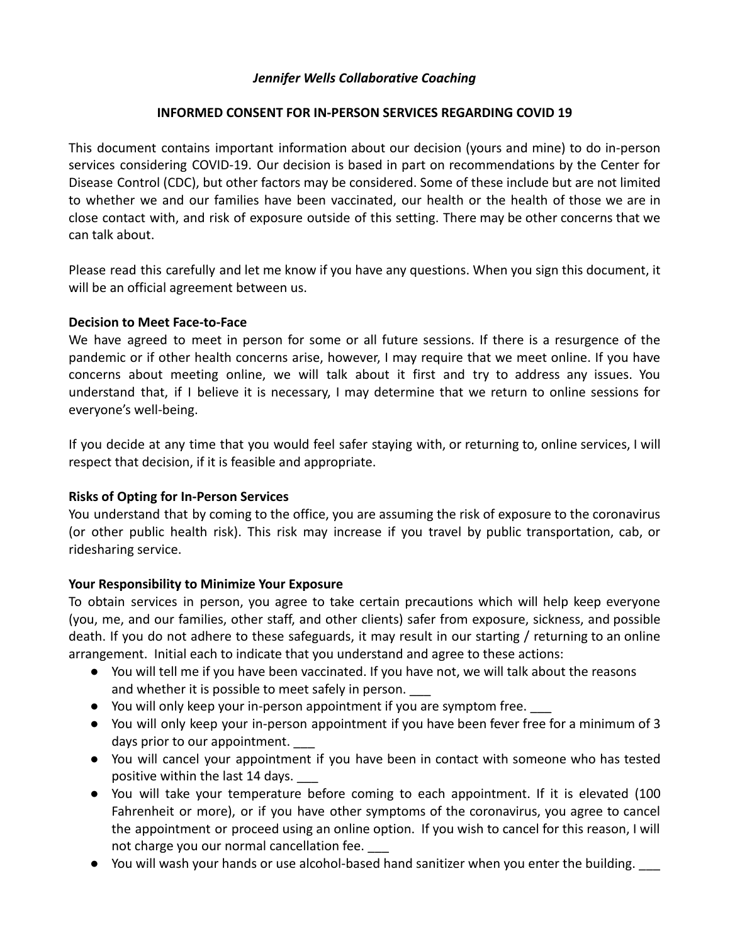## *Jennifer Wells Collaborative Coaching*

## **INFORMED CONSENT FOR IN-PERSON SERVICES REGARDING COVID 19**

This document contains important information about our decision (yours and mine) to do in-person services considering COVID-19. Our decision is based in part on recommendations by the Center for Disease Control (CDC), but other factors may be considered. Some of these include but are not limited to whether we and our families have been vaccinated, our health or the health of those we are in close contact with, and risk of exposure outside of this setting. There may be other concerns that we can talk about.

Please read this carefully and let me know if you have any questions. When you sign this document, it will be an official agreement between us.

## **Decision to Meet Face-to-Face**

We have agreed to meet in person for some or all future sessions. If there is a resurgence of the pandemic or if other health concerns arise, however, I may require that we meet online. If you have concerns about meeting online, we will talk about it first and try to address any issues. You understand that, if I believe it is necessary, I may determine that we return to online sessions for everyone's well-being.

If you decide at any time that you would feel safer staying with, or returning to, online services, I will respect that decision, if it is feasible and appropriate.

# **Risks of Opting for In-Person Services**

You understand that by coming to the office, you are assuming the risk of exposure to the coronavirus (or other public health risk). This risk may increase if you travel by public transportation, cab, or ridesharing service.

# **Your Responsibility to Minimize Your Exposure**

To obtain services in person, you agree to take certain precautions which will help keep everyone (you, me, and our families, other staff, and other clients) safer from exposure, sickness, and possible death. If you do not adhere to these safeguards, it may result in our starting / returning to an online arrangement. Initial each to indicate that you understand and agree to these actions:

- You will tell me if you have been vaccinated. If you have not, we will talk about the reasons and whether it is possible to meet safely in person.
- You will only keep your in-person appointment if you are symptom free.
- You will only keep your in-person appointment if you have been fever free for a minimum of 3 days prior to our appointment.
- You will cancel your appointment if you have been in contact with someone who has tested positive within the last 14 days. \_\_\_
- You will take your temperature before coming to each appointment. If it is elevated (100 Fahrenheit or more), or if you have other symptoms of the coronavirus, you agree to cancel the appointment or proceed using an online option. If you wish to cancel for this reason, I will not charge you our normal cancellation fee.
- You will wash your hands or use alcohol-based hand sanitizer when you enter the building.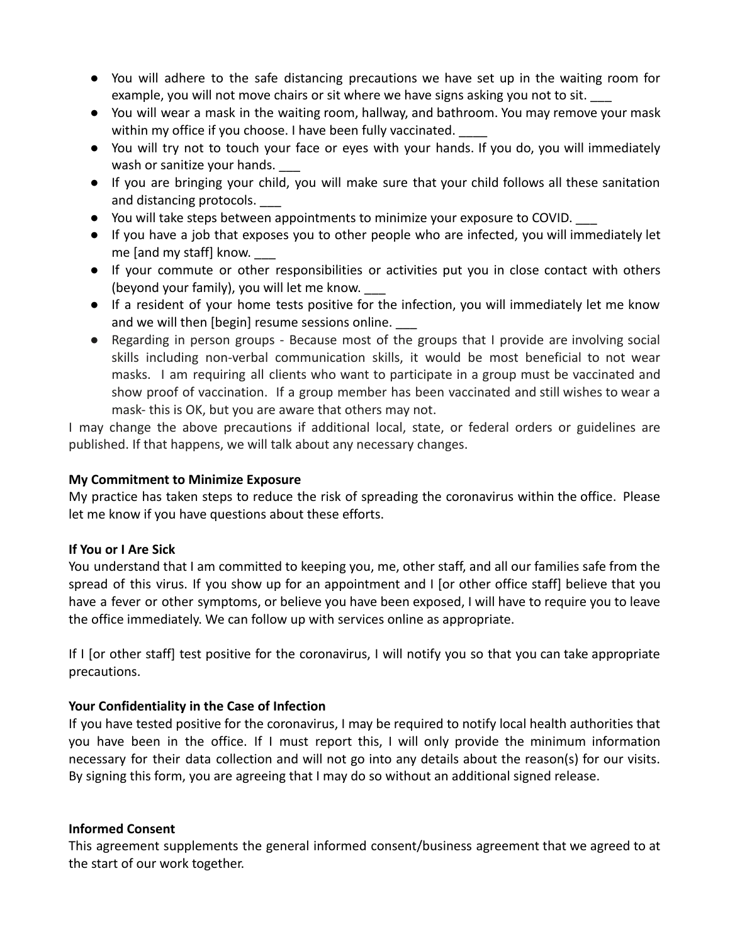- You will adhere to the safe distancing precautions we have set up in the waiting room for example, you will not move chairs or sit where we have signs asking you not to sit.
- You will wear a mask in the waiting room, hallway, and bathroom. You may remove your mask within my office if you choose. I have been fully vaccinated.
- You will try not to touch your face or eyes with your hands. If you do, you will immediately wash or sanitize your hands.
- If you are bringing your child, you will make sure that your child follows all these sanitation and distancing protocols.
- You will take steps between appointments to minimize your exposure to COVID. \_\_\_
- If you have a job that exposes you to other people who are infected, you will immediately let me [and my staff] know.
- If your commute or other responsibilities or activities put you in close contact with others (beyond your family), you will let me know. \_\_\_
- If a resident of your home tests positive for the infection, you will immediately let me know and we will then [begin] resume sessions online.
- Regarding in person groups Because most of the groups that I provide are involving social skills including non-verbal communication skills, it would be most beneficial to not wear masks. I am requiring all clients who want to participate in a group must be vaccinated and show proof of vaccination. If a group member has been vaccinated and still wishes to wear a mask- this is OK, but you are aware that others may not.

I may change the above precautions if additional local, state, or federal orders or guidelines are published. If that happens, we will talk about any necessary changes.

## **My Commitment to Minimize Exposure**

My practice has taken steps to reduce the risk of spreading the coronavirus within the office. Please let me know if you have questions about these efforts.

# **If You or I Are Sick**

You understand that I am committed to keeping you, me, other staff, and all our families safe from the spread of this virus. If you show up for an appointment and I [or other office staff] believe that you have a fever or other symptoms, or believe you have been exposed, I will have to require you to leave the office immediately. We can follow up with services online as appropriate.

If I [or other staff] test positive for the coronavirus, I will notify you so that you can take appropriate precautions.

# **Your Confidentiality in the Case of Infection**

If you have tested positive for the coronavirus, I may be required to notify local health authorities that you have been in the office. If I must report this, I will only provide the minimum information necessary for their data collection and will not go into any details about the reason(s) for our visits. By signing this form, you are agreeing that I may do so without an additional signed release.

#### **Informed Consent**

This agreement supplements the general informed consent/business agreement that we agreed to at the start of our work together.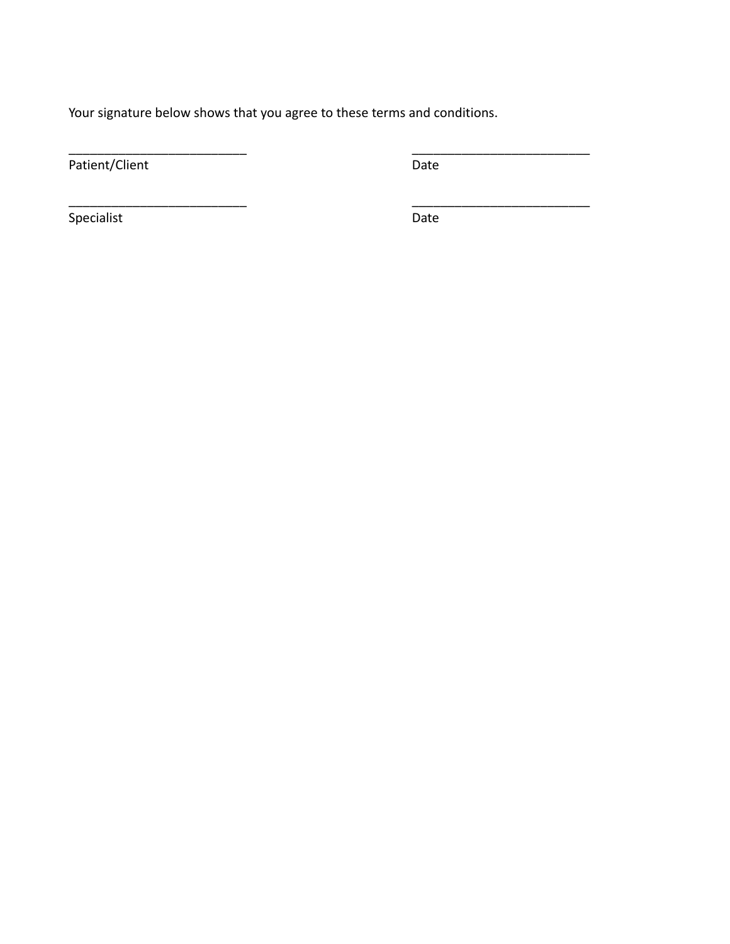Your signature below shows that you agree to these terms and conditions.

\_\_\_\_\_\_\_\_\_\_\_\_\_\_\_\_\_\_\_\_\_\_\_\_\_ \_\_\_\_\_\_\_\_\_\_\_\_\_\_\_\_\_\_\_\_\_\_\_\_\_

\_\_\_\_\_\_\_\_\_\_\_\_\_\_\_\_\_\_\_\_\_\_\_\_\_ \_\_\_\_\_\_\_\_\_\_\_\_\_\_\_\_\_\_\_\_\_\_\_\_\_

Patient/Client Date

Specialist Date Date Date